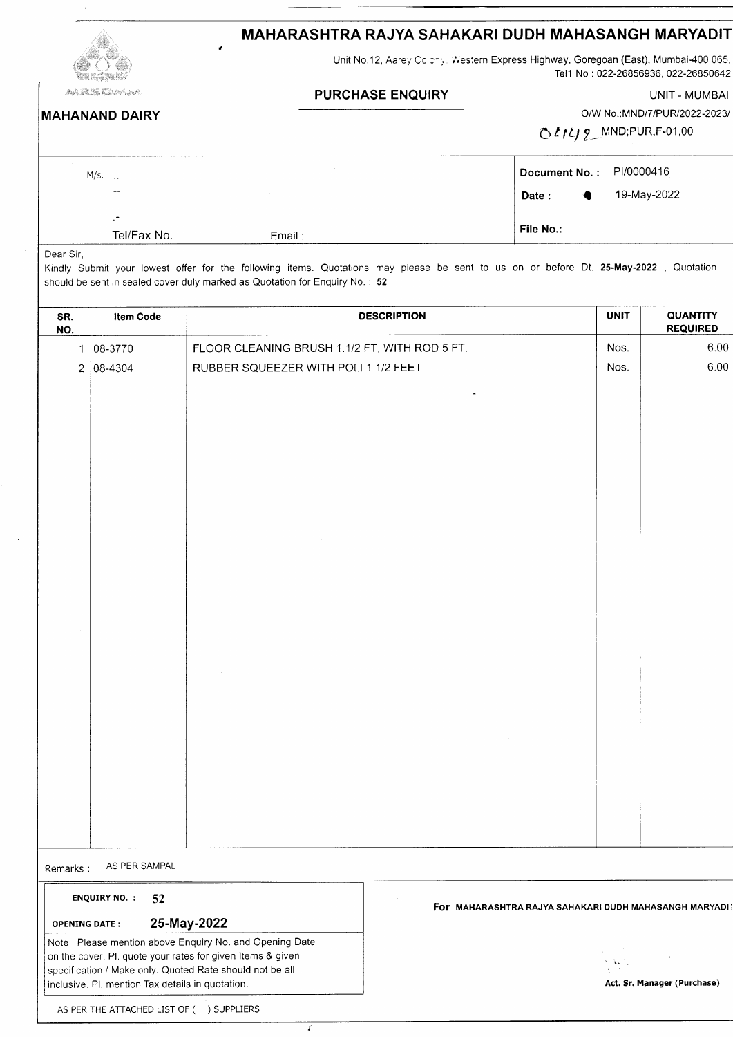| MAHARASHTRA RAJYA SAHAKARI DUDH MAHASANGH MARYADIT |
|----------------------------------------------------|
|----------------------------------------------------|

Unit No.12, Aarey Cc chy. Western Express Highway, Goregoan (East), Mumbai-400 065 Tel 1 No : 022-26856936, 022-26850642

| <b>MAHANAND DAIRY</b> |  |  |
|-----------------------|--|--|

PURCHASE ENQUIRY UNIT - MUMBAI

O/W No.: MND/7/PUR/2022-2023/

 $OL149$  MND;PUR,F-01,00

| $M/s.$ .                 |        | Document No.: PI/0000416 |  |
|--------------------------|--------|--------------------------|--|
| $- -$                    |        | 19-May-2022<br>Date: +   |  |
| $\overline{\phantom{0}}$ |        |                          |  |
| Tel/Fax No.              | Email: | File No.:                |  |

Dear Sir,

Kindly Submit your lowest offer for the following items. Quotations may please be sent to us on or before Dt. 25-May-2o22 , Quotation should be sent in sealed cover duly marked as Quotation for Enquiry No. : <sup>52</sup>

| SR.<br>NO.           | Item Code                  | <b>DESCRIPTION</b>                                       | <b>UNIT</b>                                           | <b>QUANTITY</b><br><b>REQUIRED</b> |
|----------------------|----------------------------|----------------------------------------------------------|-------------------------------------------------------|------------------------------------|
|                      | $1 08-3770$                | FLOOR CLEANING BRUSH 1.1/2 FT, WITH ROD 5 FT.            | Nos.                                                  | 6.00                               |
|                      | $2 08-4304 $               | RUBBER SQUEEZER WITH POLI 1 1/2 FEET                     | Nos.                                                  | 6.00                               |
|                      |                            | $\blacktriangleleft$                                     |                                                       |                                    |
|                      |                            |                                                          |                                                       |                                    |
|                      |                            |                                                          |                                                       |                                    |
|                      |                            |                                                          |                                                       |                                    |
|                      |                            |                                                          |                                                       |                                    |
|                      |                            |                                                          |                                                       |                                    |
|                      |                            |                                                          |                                                       |                                    |
|                      |                            |                                                          |                                                       |                                    |
|                      |                            |                                                          |                                                       |                                    |
|                      |                            |                                                          |                                                       |                                    |
|                      |                            |                                                          |                                                       |                                    |
|                      |                            |                                                          |                                                       |                                    |
|                      |                            |                                                          |                                                       |                                    |
|                      |                            |                                                          |                                                       |                                    |
|                      |                            |                                                          |                                                       |                                    |
|                      |                            |                                                          |                                                       |                                    |
|                      |                            |                                                          |                                                       |                                    |
|                      |                            |                                                          |                                                       |                                    |
|                      |                            |                                                          |                                                       |                                    |
|                      |                            |                                                          |                                                       |                                    |
|                      |                            |                                                          |                                                       |                                    |
| Remarks:             | AS PER SAMPAL              |                                                          |                                                       |                                    |
|                      | <b>ENQUIRY NO. :</b><br>52 |                                                          |                                                       |                                    |
| <b>OPENING DATE:</b> |                            | 25-May-2022                                              | For MAHARASHTRA RAJYA SAHAKARI DUDH MAHASANGH MARYADI |                                    |
|                      |                            | Note : Please mention above Enquiry No. and Opening Date |                                                       |                                    |

specification / Make only. Quoted Rate should not be all inclusive. Pl. mention Tax details in quotation.

I

on the cover. Pl. quote your rates for given ltems & given

| <b>Contract</b>                                                                                                      |  |
|----------------------------------------------------------------------------------------------------------------------|--|
|                                                                                                                      |  |
| $\sum_{\alpha\in\mathcal{A}}\sum_{\alpha\in\mathcal{A}}\left(\frac{\alpha}{\alpha}+\frac{1}{\alpha}\right)^{\alpha}$ |  |
|                                                                                                                      |  |

Act. Sr. Manager (Purchase)

AS PER THE ATTACHED LIST OF ( ) SUPPLIERS